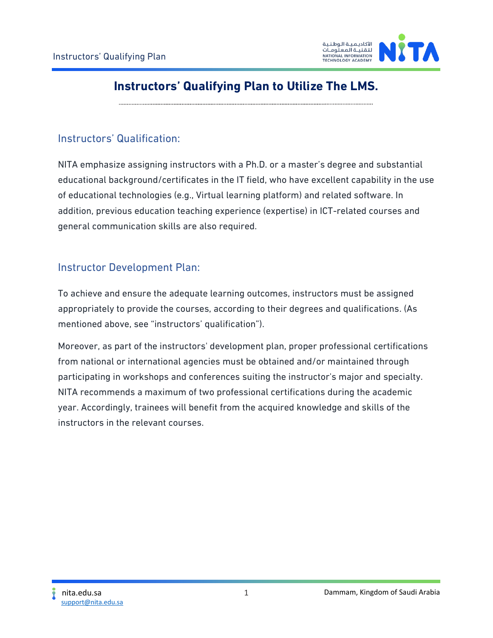

# **Instructors' Qualifying Plan to Utilize The LMS.**

### Instructors' Qualification:

NITA emphasize assigning instructors with a Ph.D. or a master's degree and substantial educational background/certificates in the IT field, who have excellent capability in the use of educational technologies (e.g., Virtual learning platform) and related software. In addition, previous education teaching experience (expertise) in ICT-related courses and general communication skills are also required.

### Instructor Development Plan:

To achieve and ensure the adequate learning outcomes, instructors must be assigned appropriately to provide the courses, according to their degrees and qualifications. (As mentioned above, see "instructors' qualification").

Moreover, as part of the instructors' development plan, proper professional certifications from national or international agencies must be obtained and/or maintained through participating in workshops and conferences suiting the instructor's major and specialty. NITA recommends a maximum of two professional certifications during the academic year. Accordingly, trainees will benefit from the acquired knowledge and skills of the instructors in the relevant courses.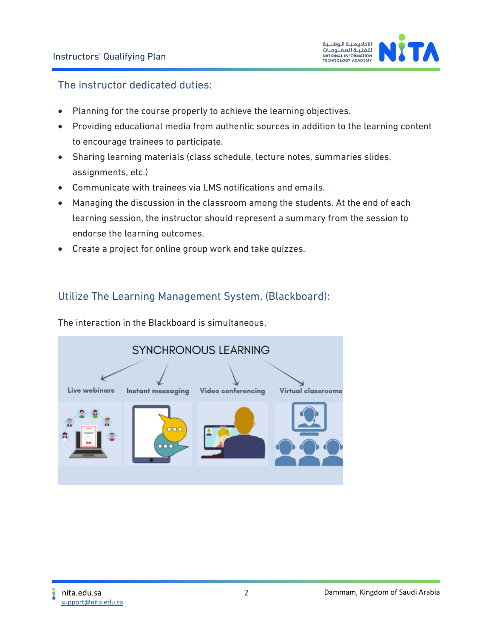

### The instructor dedicated duties:

- Planning for the course properly to achieve the learning objectives.
- Providing educational media from authentic sources in addition to the learning content to encourage trainees to participate.
- Sharing learning materials (class schedule, lecture notes, summaries slides, assignments, etc.)
- Communicate with trainees via LMS notifications and emails.
- Managing the discussion in the classroom among the students. At the end of each learning session, the instructor should represent a summary from the session to endorse the learning outcomes.
- Create a project for online group work and take quizzes.

### Utilize The Learning Management System, (Blackboard):

The interaction in the Blackboard is simultaneous.

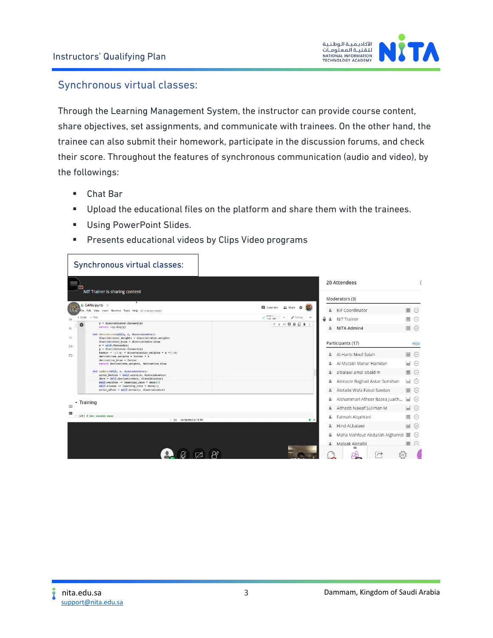

#### Synchronous virtual classes:

Through the Learning Management System, the instructor can provide course content, share objectives, set assignments, and communicate with trainees. On the other hand, the trainee can also submit their homework, participate in the discussion forums, and check their score. Throughout the features of synchronous communication (audio and video), by the followings:

- Chat Bar
- Upload the educational files on the platform and share them with the trainees.
- Using PowerPoint Slides.
- **E** Presents educational videos by Clips Video programs

|                        | Synchronous virtual classes:                                                                                                                                                                    |                                                                                             |                                   |
|------------------------|-------------------------------------------------------------------------------------------------------------------------------------------------------------------------------------------------|---------------------------------------------------------------------------------------------|-----------------------------------|
|                        | NIT Trainer is sharing content                                                                                                                                                                  | 20 Attendees                                                                                |                                   |
|                        |                                                                                                                                                                                                 | Moderators (3)                                                                              |                                   |
|                        | △ GANs.ipynb ☆<br>ile Edit View Insert Runtime Tools Help All changes saved                                                                                                                     | Comment<br>". Share<br>KIF Coordinator<br>$\overline{\phantom{a}}$                          | $\equiv$<br>[]                    |
| $+ Code + Text$        |                                                                                                                                                                                                 | $\sqrt{\frac{RAM}{Dist}}$<br>$\angle$ Editing $\land$<br>O<br>$\overline{a}$<br>NIT Trainer | $\equiv$                          |
|                        | $y =$ discriminator.forward(x)<br>$return -np.log(y)$                                                                                                                                           | ↑↓◎日 \$ 日 ■  <br>NITA Admin4<br>$\overline{a}$                                              | $\equiv$<br>$(\dots)$             |
| $\langle$ ><br>$\{x\}$ | def derivatives(self, z, discriminator):<br>discriminator_weights = discriminator.weights<br>discriminator bias = discriminator.bias<br>$x = self.forward(z)$<br>$y =$ discriminator.forward(x) | Participants (17)                                                                           | Hide                              |
| ▭                      | factor = -(1-y) * discriminator weights * x *(1-x)<br>derivatives weights = factor * z                                                                                                          | Al-Harbi Nouf Salah<br>$\overline{a}$                                                       | $\equiv$<br>$(\dots)$             |
|                        | $derivative bias = factor$<br>return derivatives weights, derivative bias                                                                                                                       | Al-Mutairi Manar Hamdan<br>$\overline{a}$                                                   | Е<br>$\bigcirc$                   |
|                        | def update(self, z, discriminator):<br>$error_bofore = self.array(z, discriminator)$                                                                                                            | albalawi amal obaid m<br>$\overline{a}$                                                     | $\equiv$<br>$(\cdot \cdot \cdot)$ |
|                        | $ders = self.derivatives(z, discriminator)$<br>self.weights -- learning_rate * ders[0]                                                                                                          | Alonazie Raghad Askar Sumihan                                                               | $=$<br>$\bigcirc$                 |
|                        | self.biases -= learning rate * ders[1]<br>error_after = self.error(z, discriminator)                                                                                                            | Alotaibi Wafa Faisal Saedan<br>$\overline{a}$                                               | $\equiv$<br>$(\dots)$             |
| Training               |                                                                                                                                                                                                 | Alshammari Atheer Bazea Juaith<br>$\overline{a}$                                            | $=$<br>$(\cdot \cdot \cdot)$      |
| $\boxed{\equiv}$       |                                                                                                                                                                                                 | Altheeb Nawaf Suliman M<br>$\Delta$                                                         | ╘<br>$(\dots)$                    |
|                        | $\times$ (10) $\neq$ Set random seed<br>$\checkmark$ 0s completed at 15:56                                                                                                                      | Fatmah Algahtani<br>$\bullet$                                                               | $\equiv$<br>(…)                   |
|                        |                                                                                                                                                                                                 | Hind ALbalawi<br>$\overline{a}$                                                             | $=$<br>$(\dots)$                  |
|                        |                                                                                                                                                                                                 | Maha Mahfouz Abdullah Alghamdi                                                              | $(\dots)$                         |
|                        |                                                                                                                                                                                                 | Malaak Alotaibi<br>$\frac{2}{2}$                                                            | $\equiv$<br>$(\dots)$             |
|                        |                                                                                                                                                                                                 | $=$<br>╔                                                                                    | 501                               |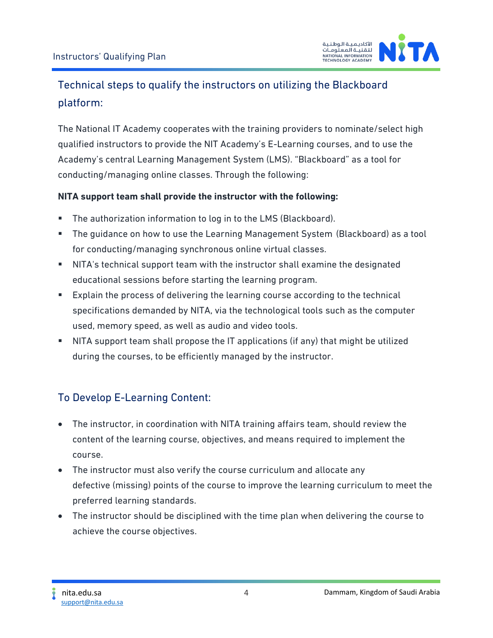

# Technical steps to qualify the instructors on utilizing the Blackboard platform:

The National IT Academy cooperates with the training providers to nominate/select high qualified instructors to provide the NIT Academy's E-Learning courses, and to use the Academy's central Learning Management System (LMS). "Blackboard" as a tool for conducting/managing online classes. Through the following:

### **NITA support team shall provide the instructor with the following:**

- The authorization information to log in to the LMS (Blackboard).
- The guidance on how to use the Learning Management System (Blackboard) as a tool for conducting/managing synchronous online virtual classes.
- NITA's technical support team with the instructor shall examine the designated educational sessions before starting the learning program.
- Explain the process of delivering the learning course according to the technical specifications demanded by NITA, via the technological tools such as the computer used, memory speed, as well as audio and video tools.
- NITA support team shall propose the IT applications (if any) that might be utilized during the courses, to be efficiently managed by the instructor.

## To Develop E-Learning Content:

- The instructor, in coordination with NITA training affairs team, should review the content of the learning course, objectives, and means required to implement the course.
- The instructor must also verify the course curriculum and allocate any defective (missing) points of the course to improve the learning curriculum to meet the preferred learning standards.
- The instructor should be disciplined with the time plan when delivering the course to achieve the course objectives.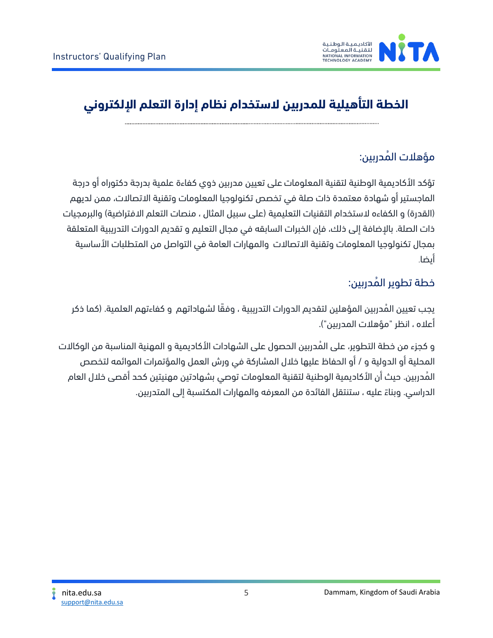

# **الخطة التأهيلية للمدربين الستخدام نظام إدارة التعلم اإللكتروني**

## مؤهلات المُدربين:

تؤكد األكاديمية الوطنية لتقنية المعلومات على تعيين مدربين ذوي كفاءة علمية بدرجة دكتوراه أو درجة الماجستير أو شهادة معتمدة ذات صلة في تخصص تكنولوجيا المعلومات وتقنية االتصاالت، ممن لديهم (القدرة) و الكفاءه لاستخدام التقنيات التعليمية (على سبيل المثال ، منصات التعلم الافتراضية) والبرمجيات ذات الصلة. باإلضافة إلى ذلك، فإن الخبرات السابقه في مجال التعليم و تقديم الدورات التدريبية المتعلقة بمجال تكنولوجيا المعلومات وتقنية االتصاالت والمهارات العامة في التواصل من المتطلبات األساسية أيضا.

## خطة تطوير المُدربين:

يجب تعيين المُدربين المؤهلين لتقديم الدورات التدريبية ، وفقًا لشهاداتهم و كفاءتهم العلمية. (كما ذكر أعاله ، انظر "مؤهالت المدربين"(.

و كجزء من خطة التطوير، على المُدربين الحصول على الشهادات الأكاديمية و المهنية المناسبة من الوكالات المحلية أو الدولية و / أو الحفاظ عليها خالل المشاركة في ورش العمل والمؤتمرات الموائمه لتخصص المُدربين. حيث أن الأكاديمية الوطنية لتقنية المعلومات توصي بشهادتين مهنيتين كحد أقصى خلال العام الدراسي. وبناءً عليه ، ستنتقل الفائدة من المعرفه والمهارات المكتسبة إلى المتدربين.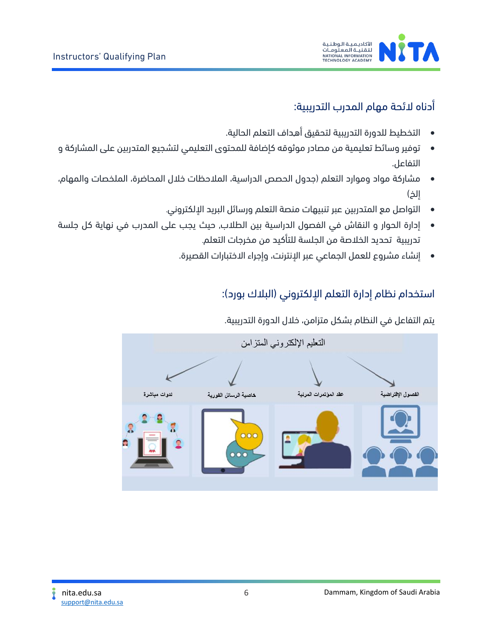



## أدناه الئحة مهام المدرب التدريبية:

- التخطيط للدورة التدريبية لتحقيق أھداف التعلم الحالیة .
- توفير وسائط تعليمية من مصادر موثوقه كإضافة للمحتوى التعليمي لتشجيع المتدربين على المشاركة و التفاعل .
- مشاركة مواد وموارد التعلم )جدول الحصص الدراسية، المالحظات خالل المحاضرة، الملخصات والمهام، إلخ(
	- التواصل مع المتدربين عبر تنبيهات منصة التعلم ورسائل البريد اإللكتروني.
- إدارة الحوار و النقاش في الفصول الدراسية بين الطالب, حيث يجب على المدرب في نھایة كل جلسة تدریبیة تحدید الخالصة من الجلسة للتأكيد من مخرجات التعلم.
	- إنشاء مشروع للعمل الجماعي عبر اإلنترنت، وإجراء االختبارات القصيرة.

### استخدام نظام إدارة التعلم الإلكتروني (البلاك بورد):

يتم التفاعل في النظام بشكل متزامن، خالل الدورة التدريبية.

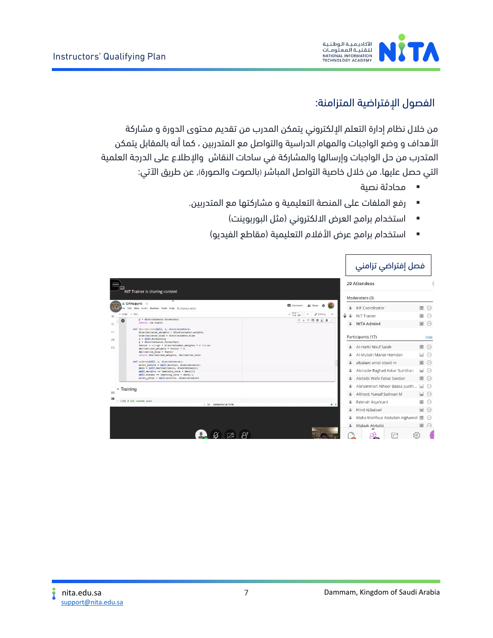

### الفصول الإفتراضية المتزامنة:

من خالل نظام إدارة التعلم اإللكتروني يتمكن المدرب من تقديم محتوى الدورة و مشاركة األهداف و وضع الواجبات والمهام الدراسیة والتواصل مع المتدربين ، كما أنه بالمقابل يتمكن المتدرب من حل الواجبات وإرسالها والمشاركة في ساحات النقاش واإلطالع على الدرجة العلمية التي حصل عليها. من خالل خاصیة التواصل المباشر (بالصوت والصورة), عن طريق اآلتي:

- محادثة نصية
- رفع الملفات على المنصة التعليمية و مشاركتها مع المتدربین.
	- استخدام برامج العرض الالكتروني (مثل البوربوينت)
	- استخدام برامج عرض الأفلام التعليمية (مقاطع الفيديو)

|                              | NIT Trainer is sharing content                                                                                                   | 20 Attendees                                                          |          |
|------------------------------|----------------------------------------------------------------------------------------------------------------------------------|-----------------------------------------------------------------------|----------|
| l:āl                         | △ GANs.ipynb ☆<br>File Edit View Insert Runtime Tools Help All changes saved                                                     | Moderators (3)<br>Comment # Share #<br>* KIF Coordinator              | $\equiv$ |
| Щ                            | $+ Code + Text$                                                                                                                  | $\sqrt{RAM}$<br>$\angle$ Editing $\land$<br>I<br><b>4</b> NIT Trainer | $\equiv$ |
| $\mathbf{Q}$                 | $y =$ discriminator.forward(x)<br>$return -np.log(y)$<br>def derivatives(self, z, discriminator):                                | ↑↓◎日章日■<br>NITA Admin4                                                | 圖        |
| $\leftrightarrow$<br>$\{x\}$ | discriminator_weights = discriminator.weights<br>discriminator bias = discriminator.bias<br>$x = self.forward(z)$                | Participants (17)                                                     | Hide     |
| O                            | $y =$ discriminator.forward(x)<br>factor = $-(1-y)$ * discriminator weights * x *(1-x)<br>derivatives weights = factor * z       | 4 Al-Harbi Nouf Salah                                                 | 圖        |
|                              | $derivative bias = factor$<br>return derivatives weights, derivative bias                                                        | Al-Mutairi Manar Hamdan<br>$\frac{9}{2}$                              | $=$      |
|                              | def update(self, z, discriminator):<br>$error before = self.array(z, discriminator)$                                             | albalawi amal obaid m                                                 | $\equiv$ |
|                              | $ders = self.derivatives(z, discriminator)$<br>self.weights -- learning_rate * ders[0]<br>self.biases -- learning rate * ders[1] | 4 Alonazie Raghad Askar Sumihan                                       | $=$      |
|                              | $error$ after = $self.error(z, discriminator)$                                                                                   | Alotaibi Wafa Faisal Saedan                                           | 目        |
|                              | - Training                                                                                                                       | Alshammari Atheer Bazea Juaith<br>≗                                   | $=$      |
|                              |                                                                                                                                  | Altheeb Nawaf Suliman M<br>$\overline{\mathbf{z}}$                    | ⊌        |
|                              | $\times$ [10] $4$ Set random seed<br>$\checkmark$ 0s completed at 15:56                                                          | <b>4</b> Fatmah Algahtani<br>$\bullet$ $\times$                       | 目        |
|                              |                                                                                                                                  | <b>4</b> Hind ALbalawi                                                | $\equiv$ |
|                              |                                                                                                                                  | Maha Mahfouz Abdullah Alghamdi                                        |          |
|                              |                                                                                                                                  | 4 Malaak Alotaibi                                                     | $\equiv$ |